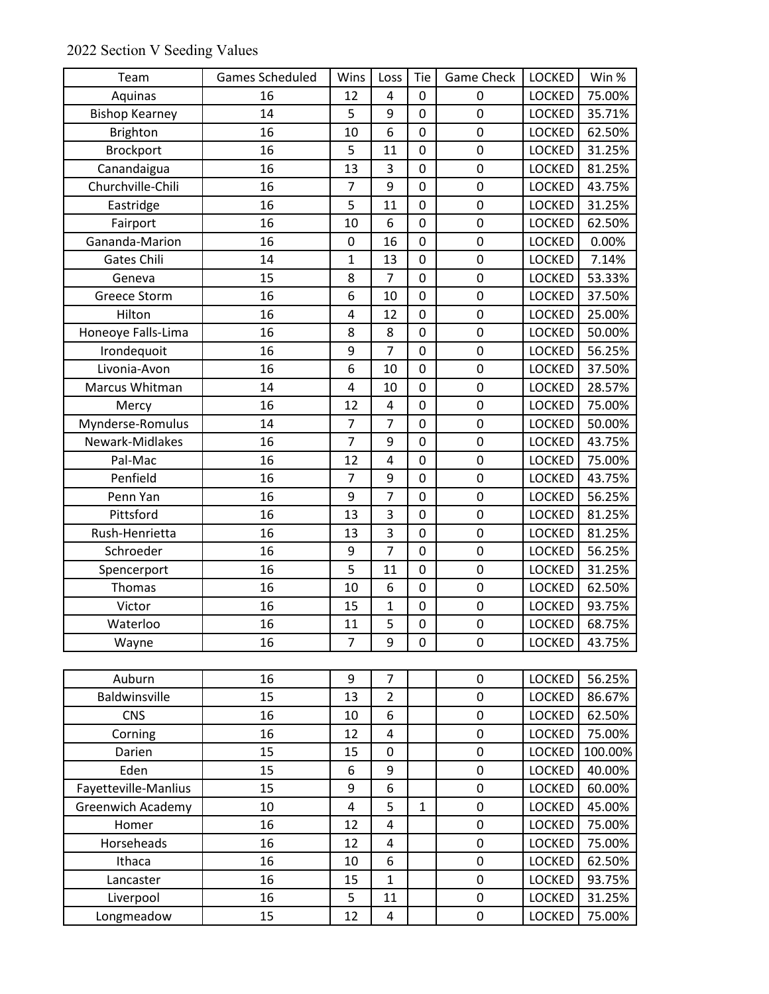|  |  |  | 2022 Section V Seeding Values |  |
|--|--|--|-------------------------------|--|
|--|--|--|-------------------------------|--|

| Team                     | <b>Games Scheduled</b> | Wins                    | Loss           | Tie            | <b>Game Check</b> | <b>LOCKED</b> | Win %   |
|--------------------------|------------------------|-------------------------|----------------|----------------|-------------------|---------------|---------|
| Aquinas                  | 16                     | 12                      | 4              | 0              | 0                 | <b>LOCKED</b> | 75.00%  |
| <b>Bishop Kearney</b>    | 14                     | 5                       | 9              | $\mathbf 0$    | $\mathbf 0$       | <b>LOCKED</b> | 35.71%  |
| <b>Brighton</b>          | 16                     | 10                      | 6              | 0              | 0                 | <b>LOCKED</b> | 62.50%  |
| <b>Brockport</b>         | 16                     | 5                       | 11             | $\overline{0}$ | $\mathbf 0$       | <b>LOCKED</b> | 31.25%  |
| Canandaigua              | 16                     | 13                      | 3              | 0              | $\mathbf 0$       | LOCKED        | 81.25%  |
| Churchville-Chili        | 16                     | $\overline{7}$          | 9              | 0              | $\boldsymbol{0}$  | LOCKED        | 43.75%  |
| Eastridge                | 16                     | 5                       | 11             | $\mathbf 0$    | 0                 | <b>LOCKED</b> | 31.25%  |
| Fairport                 | 16                     | 10                      | 6              | 0              | 0                 | <b>LOCKED</b> | 62.50%  |
| Gananda-Marion           | 16                     | $\pmb{0}$               | 16             | 0              | $\mathbf 0$       | <b>LOCKED</b> | 0.00%   |
| Gates Chili              | 14                     | $\mathbf{1}$            | 13             | 0              | 0                 | <b>LOCKED</b> | 7.14%   |
| Geneva                   | 15                     | 8                       | $\overline{7}$ | $\mathbf 0$    | $\mathbf 0$       | <b>LOCKED</b> | 53.33%  |
| <b>Greece Storm</b>      | 16                     | 6                       | 10             | 0              | $\pmb{0}$         | LOCKED        | 37.50%  |
| Hilton                   | 16                     | $\overline{\mathbf{4}}$ | 12             | 0              | $\pmb{0}$         | <b>LOCKED</b> | 25.00%  |
| Honeoye Falls-Lima       | 16                     | 8                       | 8              | $\mathbf 0$    | $\pmb{0}$         | LOCKED        | 50.00%  |
| Irondequoit              | 16                     | 9                       | $\overline{7}$ | 0              | 0                 | <b>LOCKED</b> | 56.25%  |
| Livonia-Avon             | 16                     | 6                       | 10             | $\mathbf 0$    | 0                 | <b>LOCKED</b> | 37.50%  |
| Marcus Whitman           | 14                     | 4                       | 10             | 0              | $\pmb{0}$         | <b>LOCKED</b> | 28.57%  |
| Mercy                    | 16                     | 12                      | 4              | 0              | $\mathbf 0$       | <b>LOCKED</b> | 75.00%  |
| Mynderse-Romulus         | 14                     | $\overline{7}$          | $\overline{7}$ | $\mathbf 0$    | $\pmb{0}$         | LOCKED        | 50.00%  |
| Newark-Midlakes          | 16                     | $\overline{7}$          | 9              | 0              | 0                 | LOCKED        | 43.75%  |
| Pal-Mac                  | 16                     | 12                      | 4              | $\mathbf 0$    | $\mathbf 0$       | LOCKED        | 75.00%  |
| Penfield                 | 16                     | $\overline{7}$          | 9              | 0              | $\pmb{0}$         | <b>LOCKED</b> | 43.75%  |
| Penn Yan                 | 16                     | 9                       | $\overline{7}$ | 0              | 0                 | <b>LOCKED</b> | 56.25%  |
| Pittsford                | 16                     | 13                      | 3              | 0              | $\mathbf 0$       | LOCKED        | 81.25%  |
| Rush-Henrietta           | 16                     | 13                      | 3              | 0              | $\pmb{0}$         | <b>LOCKED</b> | 81.25%  |
| Schroeder                | 16                     | 9                       | 7              | 0              | 0                 | LOCKED        | 56.25%  |
| Spencerport              | 16                     | 5                       | 11             | 0              | $\mathbf 0$       | <b>LOCKED</b> | 31.25%  |
| Thomas                   | 16                     | 10                      | 6              | 0              | $\mathbf 0$       | <b>LOCKED</b> | 62.50%  |
| Victor                   | 16                     | 15                      | $\mathbf{1}$   | 0              | 0                 | <b>LOCKED</b> | 93.75%  |
| Waterloo                 | 16                     | 11                      | 5              | $\mathbf 0$    | $\mathbf 0$       | LOCKED        | 68.75%  |
| Wayne                    | 16                     | 7                       | 9              | 0              | 0                 | LOCKED        | 43.75%  |
|                          |                        |                         |                |                |                   |               |         |
| Auburn                   | 16                     | 9                       | $\overline{7}$ |                | 0                 | LOCKED        | 56.25%  |
| Baldwinsville            | 15                     | 13                      | $\overline{2}$ |                | 0                 | LOCKED        | 86.67%  |
| <b>CNS</b>               | 16                     | 10                      | 6              |                | 0                 | <b>LOCKED</b> | 62.50%  |
| Corning                  | 16                     | 12                      | 4              |                | $\pmb{0}$         | LOCKED        | 75.00%  |
| Darien                   | 15                     | 15                      | $\pmb{0}$      |                | $\pmb{0}$         | <b>LOCKED</b> | 100.00% |
| Eden                     | 15                     | 6                       | 9              |                | $\pmb{0}$         | LOCKED        | 40.00%  |
| Fayetteville-Manlius     | 15                     | 9                       | 6              |                | 0                 | <b>LOCKED</b> | 60.00%  |
| <b>Greenwich Academy</b> | 10                     | 4                       | 5              | $\mathbf{1}$   | 0                 | LOCKED        | 45.00%  |
| Homer                    | 16                     | 12                      | 4              |                | 0                 | LOCKED        | 75.00%  |
| Horseheads               | 16                     | 12                      | 4              |                | 0                 | <b>LOCKED</b> | 75.00%  |
| Ithaca                   | 16                     | 10                      | 6              |                | $\pmb{0}$         | LOCKED        | 62.50%  |
| Lancaster                | 16                     | 15                      | $\mathbf{1}$   |                | $\boldsymbol{0}$  | LOCKED        | 93.75%  |
| Liverpool                | 16                     | 5                       | 11             |                | $\pmb{0}$         | LOCKED        | 31.25%  |
| Longmeadow               | 15                     | 12                      | 4              |                | 0                 | LOCKED        | 75.00%  |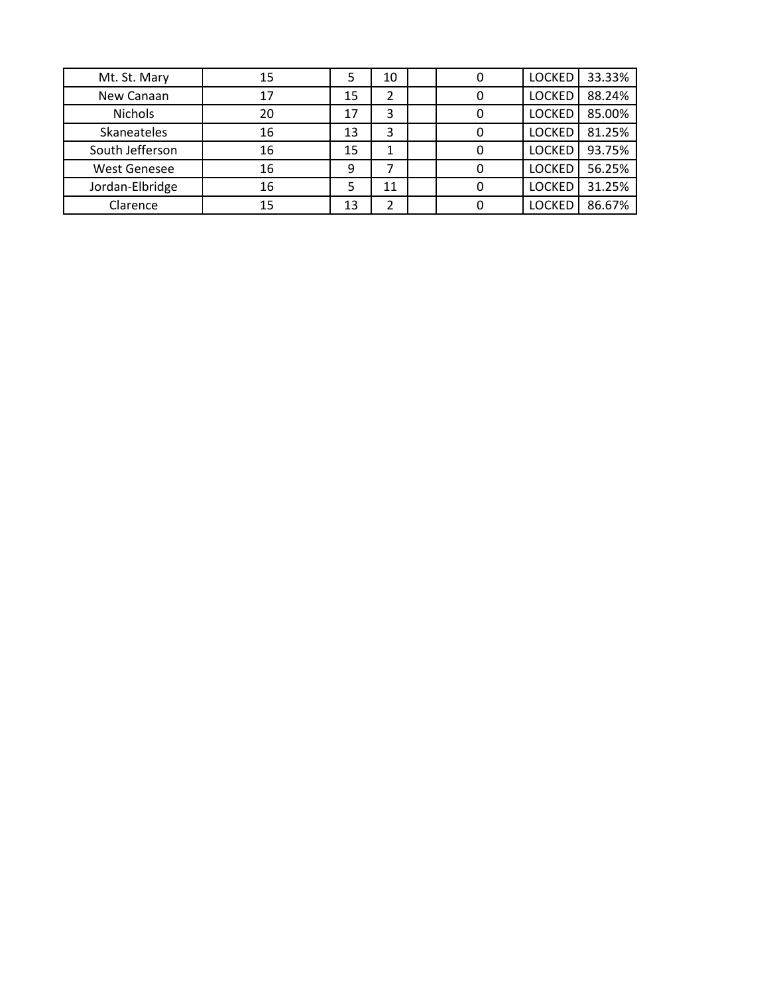| Mt. St. Mary        | 15 | 5  | 10 | 0 | <b>LOCKED</b> | 33.33% |
|---------------------|----|----|----|---|---------------|--------|
| New Canaan          | 17 | 15 |    |   | <b>LOCKED</b> | 88.24% |
| Nichols             | 20 | 17 | 3  |   | <b>LOCKED</b> | 85.00% |
| Skaneateles         | 16 | 13 | 3  |   | <b>LOCKED</b> | 81.25% |
| South Jefferson     | 16 | 15 |    |   | <b>LOCKED</b> | 93.75% |
| <b>West Genesee</b> | 16 | 9  | ⇁  |   | <b>LOCKED</b> | 56.25% |
| Jordan-Elbridge     | 16 | 5  | 11 | 0 | <b>LOCKED</b> | 31.25% |
| Clarence            | 15 | 13 |    |   | <b>LOCKED</b> | 86.67% |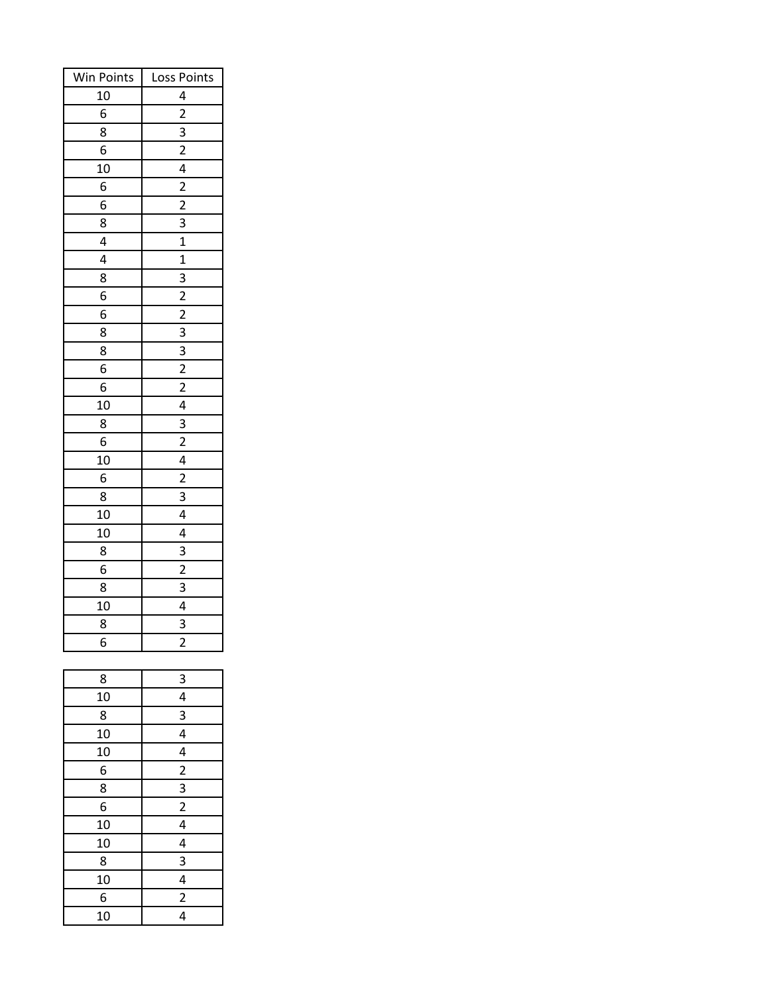| Win Points | Loss Points             |  |  |  |  |
|------------|-------------------------|--|--|--|--|
| 10         | 4                       |  |  |  |  |
| 6          | $\overline{a}$          |  |  |  |  |
| 8          | 3                       |  |  |  |  |
| 6          | $\overline{c}$          |  |  |  |  |
| 10         | $\overline{4}$          |  |  |  |  |
| 6          | $\overline{a}$          |  |  |  |  |
| 6          | $\overline{2}$          |  |  |  |  |
| 8          | 3                       |  |  |  |  |
| 4          | $\mathbf 1$             |  |  |  |  |
| 4          | 1                       |  |  |  |  |
| 8          | 3                       |  |  |  |  |
| 6          | $\frac{1}{2}$           |  |  |  |  |
| 6          | $\overline{2}$          |  |  |  |  |
| 8          | $\frac{3}{2}$           |  |  |  |  |
| 8          | $\overline{3}$          |  |  |  |  |
| 6          | $\overline{2}$          |  |  |  |  |
| 6          | $\overline{2}$          |  |  |  |  |
| 10         | 4                       |  |  |  |  |
| 8          | $\overline{3}$          |  |  |  |  |
| 6          | $\overline{c}$          |  |  |  |  |
| 10         | 4                       |  |  |  |  |
| 6          | $\overline{2}$          |  |  |  |  |
| 8          | 3                       |  |  |  |  |
| 10         | 4                       |  |  |  |  |
| 10         | 4                       |  |  |  |  |
| 8          | 3                       |  |  |  |  |
| 6          | $\overline{2}$          |  |  |  |  |
| 8          | 3                       |  |  |  |  |
| 10         | 4                       |  |  |  |  |
| 8          | 3                       |  |  |  |  |
| 6          | $\overline{c}$          |  |  |  |  |
|            |                         |  |  |  |  |
| 8          | 3                       |  |  |  |  |
| 10         | 4                       |  |  |  |  |
| 8          | 3                       |  |  |  |  |
| 10         | $\frac{4}{1}$           |  |  |  |  |
| 10         | 4                       |  |  |  |  |
| 6          | $\overline{2}$          |  |  |  |  |
| 8          | $\overline{\mathbf{3}}$ |  |  |  |  |
| 6          | $\frac{1}{2}$           |  |  |  |  |
| 10         | $\overline{4}$          |  |  |  |  |
| 10         | $\overline{4}$          |  |  |  |  |
| 8          | $\overline{\mathbf{3}}$ |  |  |  |  |
| 10         | 4                       |  |  |  |  |
| 6          | $\overline{c}$          |  |  |  |  |
| 10         | 4                       |  |  |  |  |